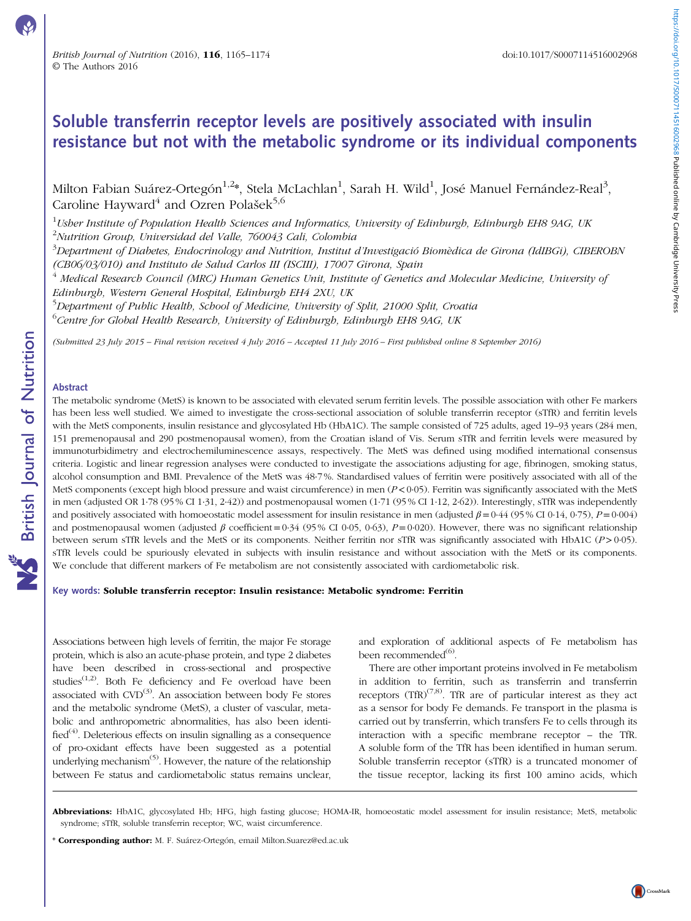# Soluble transferrin receptor levels are positively associated with insulin resistance but not with the metabolic syndrome or its individual components

Milton Fabian Suárez-Ortegón $^{1,2}$ \*, Stela McLachlan $^1$ , Sarah H. Wild $^1$ , José Manuel Fernández-Real $^3,$ Caroline Hayward<sup>4</sup> and Ozren Polašek<sup>5,6</sup>

 $^1$ Usher Institute of Population Health Sciences and Informatics, University of Edinburgh, Edinburgh EH8 9AG, UK <sup>2</sup>Nutrition Group, Universidad del Valle, 760043 Cali, Colombia

<sup>3</sup>Department of Diabetes, Endocrinology and Nutrition, Institut d'Investigació Biomèdica de Girona (IdIBGi), CIBEROBN (CB06/03/010) and Instituto de Salud Carlos III (ISCIII), 17007 Girona, Spain

 $^4$  Medical Research Council (MRC) Human Genetics Unit, Institute of Genetics and Molecular Medicine, University of Edinburgh, Western General Hospital, Edinburgh EH4 2XU, UK

<sup>5</sup>Department of Public Health, School of Medicine, University of Split, 21000 Split, Croatia

 $^6$ Centre for Global Health Research, University of Edinburgh, Edinburgh EH8 9AG, UK

(Submitted 23 July 2015 – Final revision received 4 July 2016 – Accepted 11 July 2016 – First published online 8 September 2016)

# Abstract

The metabolic syndrome (MetS) is known to be associated with elevated serum ferritin levels. The possible association with other Fe markers has been less well studied. We aimed to investigate the cross-sectional association of soluble transferrin receptor (sTfR) and ferritin levels with the MetS components, insulin resistance and glycosylated Hb (HbA1C). The sample consisted of 725 adults, aged 19–93 years (284 men, 151 premenopausal and 290 postmenopausal women), from the Croatian island of Vis. Serum sTfR and ferritin levels were measured by immunoturbidimetry and electrochemiluminescence assays, respectively. The MetS was defined using modified international consensus criteria. Logistic and linear regression analyses were conducted to investigate the associations adjusting for age, fibrinogen, smoking status, alcohol consumption and BMI. Prevalence of the MetS was 48·7 %. Standardised values of ferritin were positively associated with all of the MetS components (except high blood pressure and waist circumference) in men  $(P<0.05)$ . Ferritin was significantly associated with the MetS in men (adjusted OR 1·78 (95 % CI 1·31, 2·42)) and postmenopausal women (1·71 (95 % CI 1·12, 2·62)). Interestingly, sTfR was independently and positively associated with homoeostatic model assessment for insulin resistance in men (adjusted  $\beta = 0.44$  (95 % CI 0.14, 0.75),  $P = 0.004$ ) and postmenopausal women (adjusted  $\beta$  coefficient = 0.34 (95% CI 0.05, 0.63), P = 0.020). However, there was no significant relationship between serum sTfR levels and the MetS or its components. Neither ferritin nor sTfR was significantly associated with HbA1C (P>0·05). sTfR levels could be spuriously elevated in subjects with insulin resistance and without association with the MetS or its components. We conclude that different markers of Fe metabolism are not consistently associated with cardiometabolic risk.

### Key words: Soluble transferrin receptor: Insulin resistance: Metabolic syndrome: Ferritin

Associations between high levels of ferritin, the major Fe storage protein, which is also an acute-phase protein, and type 2 diabetes have been described in cross-sectional and prospective studies<sup>([1](#page-8-0),[2\)](#page-8-0)</sup>. Both Fe deficiency and Fe overload have been associated with  $CVD^{(3)}$  $CVD^{(3)}$  $CVD^{(3)}$ . An association between body Fe stores and the metabolic syndrome (MetS), a cluster of vascular, metabolic and anthropometric abnormalities, has also been identi- $\text{fied}^{(4)}$  $\text{fied}^{(4)}$  $\text{fied}^{(4)}$ . Deleterious effects on insulin signalling as a consequence of pro-oxidant effects have been suggested as a potential underlying mechanism<sup>[\(5\)](#page-8-0)</sup>. However, the nature of the relationship between Fe status and cardiometabolic status remains unclear,

and exploration of additional aspects of Fe metabolism has been recommended<sup>[\(6\)](#page-8-0)</sup>.

There are other important proteins involved in Fe metabolism in addition to ferritin, such as transferrin and transferrin receptors (TfR) $^{(7,8)}$  $^{(7,8)}$  $^{(7,8)}$ . TfR are of particular interest as they act as a sensor for body Fe demands. Fe transport in the plasma is carried out by transferrin, which transfers Fe to cells through its interaction with a specific membrane receptor – the TfR. A soluble form of the TfR has been identified in human serum. Soluble transferrin receptor (sTfR) is a truncated monomer of the tissue receptor, lacking its first 100 amino acids, which

\* Corresponding author: M. F. Suárez-Ortegón, email Milton.Suarez@ed.ac.uk

Abbreviations: HbA1C, glycosylated Hb; HFG, high fasting glucose; HOMA-IR, homoeostatic model assessment for insulin resistance; MetS, metabolic syndrome; sTfR, soluble transferrin receptor; WC, waist circumference.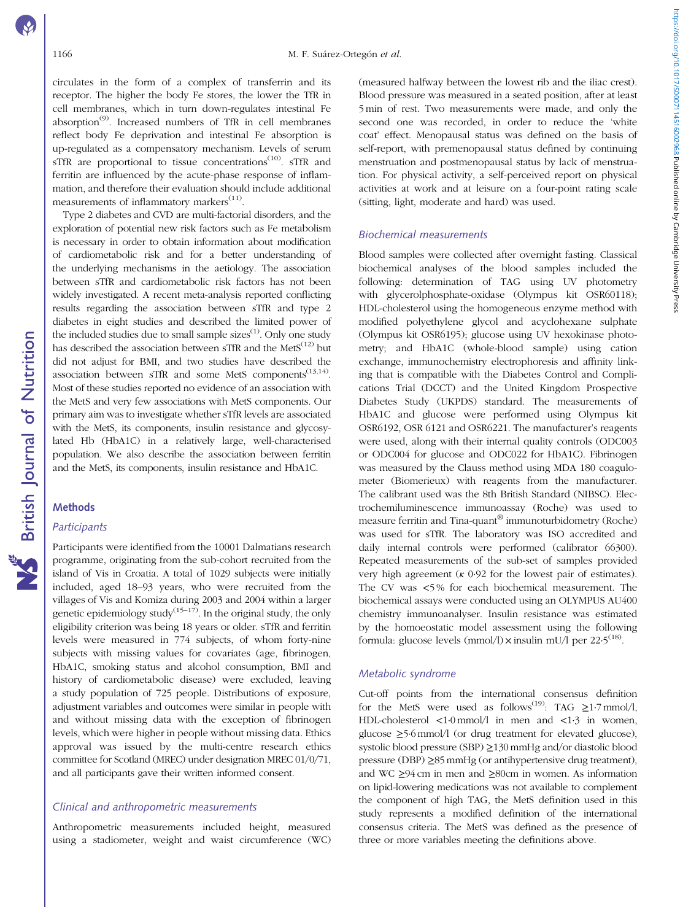circulates in the form of a complex of transferrin and its receptor. The higher the body Fe stores, the lower the TfR in cell membranes, which in turn down-regulates intestinal Fe absorption<sup> $(9)$ </sup>. Increased numbers of TfR in cell membranes reflect body Fe deprivation and intestinal Fe absorption is up-regulated as a compensatory mechanism. Levels of serum sTfR are proportional to tissue concentrations<sup> $(10)$ </sup>. sTfR and ferritin are influenced by the acute-phase response of inflammation, and therefore their evaluation should include additional measurements of inflammatory markers<sup>[\(11](#page-8-0))</sup>.

Type 2 diabetes and CVD are multi-factorial disorders, and the exploration of potential new risk factors such as Fe metabolism is necessary in order to obtain information about modification of cardiometabolic risk and for a better understanding of the underlying mechanisms in the aetiology. The association between sTfR and cardiometabolic risk factors has not been widely investigated. A recent meta-analysis reported conflicting results regarding the association between sTfR and type 2 diabetes in eight studies and described the limited power of the included studies due to small sample sizes<sup>[\(1](#page-8-0))</sup>. Only one study has described the association between sTfR and the Met $S^{(12)}$  $S^{(12)}$  $S^{(12)}$  but did not adjust for BMI, and two studies have described the association between sTfR and some MetS components<sup> $(13,14)$ </sup>. Most of these studies reported no evidence of an association with the MetS and very few associations with MetS components. Our primary aim was to investigate whether sTfR levels are associated with the MetS, its components, insulin resistance and glycosylated Hb (HbA1C) in a relatively large, well-characterised population. We also describe the association between ferritin and the MetS, its components, insulin resistance and HbA1C.

# **Methods**

# **Participants**

Participants were identified from the 10001 Dalmatians research programme, originating from the sub-cohort recruited from the island of Vis in Croatia. A total of 1029 subjects were initially included, aged 18–93 years, who were recruited from the villages of Vis and Komiza during 2003 and 2004 within a larger genetic epidemiology study<sup> $(15-17)$  $(15-17)$  $(15-17)$  $(15-17)$ </sup>. In the original study, the only eligibility criterion was being 18 years or older. sTfR and ferritin levels were measured in 774 subjects, of whom forty-nine subjects with missing values for covariates (age, fibrinogen, HbA1C, smoking status and alcohol consumption, BMI and history of cardiometabolic disease) were excluded, leaving a study population of 725 people. Distributions of exposure, adjustment variables and outcomes were similar in people with and without missing data with the exception of fibrinogen levels, which were higher in people without missing data. Ethics approval was issued by the multi-centre research ethics committee for Scotland (MREC) under designation MREC 01/0/71, and all participants gave their written informed consent.

# Clinical and anthropometric measurements

Anthropometric measurements included height, measured using a stadiometer, weight and waist circumference (WC)

(measured halfway between the lowest rib and the iliac crest). Blood pressure was measured in a seated position, after at least 5 min of rest. Two measurements were made, and only the second one was recorded, in order to reduce the 'white coat' effect. Menopausal status was defined on the basis of self-report, with premenopausal status defined by continuing menstruation and postmenopausal status by lack of menstruation. For physical activity, a self-perceived report on physical activities at work and at leisure on a four-point rating scale (sitting, light, moderate and hard) was used.

# Biochemical measurements

Blood samples were collected after overnight fasting. Classical biochemical analyses of the blood samples included the following: determination of TAG using UV photometry with glycerolphosphate-oxidase (Olympus kit OSR60118); HDL-cholesterol using the homogeneous enzyme method with modified polyethylene glycol and acyclohexane sulphate (Olympus kit OSR6195); glucose using UV hexokinase photometry; and HbA1C (whole-blood sample) using cation exchange, immunochemistry electrophoresis and affinity linking that is compatible with the Diabetes Control and Complications Trial (DCCT) and the United Kingdom Prospective Diabetes Study (UKPDS) standard. The measurements of HbA1C and glucose were performed using Olympus kit OSR6192, OSR 6121 and OSR6221. The manufacturer's reagents were used, along with their internal quality controls (ODC003 or ODC004 for glucose and ODC022 for HbA1C). Fibrinogen was measured by the Clauss method using MDA 180 coagulometer (Biomerieux) with reagents from the manufacturer. The calibrant used was the 8th British Standard (NIBSC). Electrochemiluminescence immunoassay (Roche) was used to measure ferritin and Tina-quant® immunoturbidometry (Roche) was used for sTfR. The laboratory was ISO accredited and daily internal controls were performed (calibrator 66300). Repeated measurements of the sub-set of samples provided very high agreement ( $\kappa$  0.92 for the lowest pair of estimates). The CV was <5 % for each biochemical measurement. The biochemical assays were conducted using an OLYMPUS AU400 chemistry immunoanalyser. Insulin resistance was estimated by the homoeostatic model assessment using the following formula: glucose levels (mmol/l) $\times$  insulin mU/l per 22 $\cdot$ 5<sup>([18\)](#page-8-0)</sup>.

# Metabolic syndrome

Cut-off points from the international consensus definition for the MetS were used as follows<sup>([19](#page-8-0))</sup>: TAG  $\geq$ 1.7 mmol/l, HDL-cholesterol <1·0 mmol/l in men and <1·3 in women, glucose ≥5·6 mmol/l (or drug treatment for elevated glucose), systolic blood pressure (SBP) ≥130 mmHg and/or diastolic blood pressure (DBP) ≥85 mmHg (or antihypertensive drug treatment), and WC ≥94 cm in men and ≥80cm in women. As information on lipid-lowering medications was not available to complement the component of high TAG, the MetS definition used in this study represents a modified definition of the international consensus criteria. The MetS was defined as the presence of three or more variables meeting the definitions above.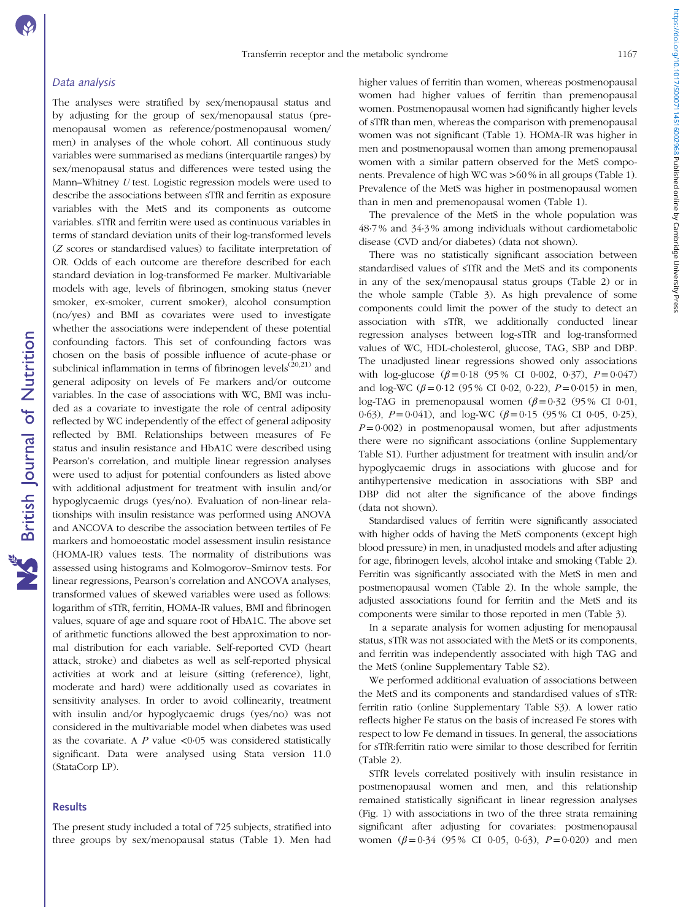### Data analysis

The analyses were stratified by sex/menopausal status and by adjusting for the group of sex/menopausal status (premenopausal women as reference/postmenopausal women/ men) in analyses of the whole cohort. All continuous study variables were summarised as medians (interquartile ranges) by sex/menopausal status and differences were tested using the Mann–Whitney U test. Logistic regression models were used to describe the associations between sTfR and ferritin as exposure variables with the MetS and its components as outcome variables. sTfR and ferritin were used as continuous variables in terms of standard deviation units of their log-transformed levels (Z scores or standardised values) to facilitate interpretation of OR. Odds of each outcome are therefore described for each standard deviation in log-transformed Fe marker. Multivariable models with age, levels of fibrinogen, smoking status (never smoker, ex-smoker, current smoker), alcohol consumption (no/yes) and BMI as covariates were used to investigate whether the associations were independent of these potential confounding factors. This set of confounding factors was chosen on the basis of possible influence of acute-phase or subclinical inflammation in terms of fibrinogen levels<sup> $(20,21)$  $(20,21)$ </sup> and general adiposity on levels of Fe markers and/or outcome variables. In the case of associations with WC, BMI was included as a covariate to investigate the role of central adiposity reflected by WC independently of the effect of general adiposity reflected by BMI. Relationships between measures of Fe status and insulin resistance and HbA1C were described using Pearson's correlation, and multiple linear regression analyses were used to adjust for potential confounders as listed above with additional adjustment for treatment with insulin and/or hypoglycaemic drugs (yes/no). Evaluation of non-linear relationships with insulin resistance was performed using ANOVA and ANCOVA to describe the association between tertiles of Fe markers and homoeostatic model assessment insulin resistance (HOMA-IR) values tests. The normality of distributions was assessed using histograms and Kolmogorov–Smirnov tests. For linear regressions, Pearson's correlation and ANCOVA analyses, transformed values of skewed variables were used as follows: logarithm of sTfR, ferritin, HOMA-IR values, BMI and fibrinogen values, square of age and square root of HbA1C. The above set of arithmetic functions allowed the best approximation to normal distribution for each variable. Self-reported CVD (heart attack, stroke) and diabetes as well as self-reported physical activities at work and at leisure (sitting (reference), light, moderate and hard) were additionally used as covariates in sensitivity analyses. In order to avoid collinearity, treatment with insulin and/or hypoglycaemic drugs (yes/no) was not considered in the multivariable model when diabetes was used as the covariate. A  $P$  value  $\lt 0.05$  was considered statistically significant. Data were analysed using Stata version 11.0 (StataCorp LP).

### **Results**

**NS** British Journal of Nutrition

The present study included a total of 725 subjects, stratified into three groups by sex/menopausal status ([Table 1](#page-3-0)). Men had higher values of ferritin than women, whereas postmenopausal women had higher values of ferritin than premenopausal women. Postmenopausal women had significantly higher levels of sTfR than men, whereas the comparison with premenopausal women was not significant [\(Table 1](#page-3-0)). HOMA-IR was higher in men and postmenopausal women than among premenopausal women with a similar pattern observed for the MetS components. Prevalence of high WC was >60 % in all groups [\(Table 1](#page-3-0)). Prevalence of the MetS was higher in postmenopausal women than in men and premenopausal women [\(Table 1](#page-3-0)).

The prevalence of the MetS in the whole population was 48·7 % and 34·3 % among individuals without cardiometabolic disease (CVD and/or diabetes) (data not shown).

There was no statistically significant association between standardised values of sTfR and the MetS and its components in any of the sex/menopausal status groups ([Table 2\)](#page-4-0) or in the whole sample ([Table 3\)](#page-4-0). As high prevalence of some components could limit the power of the study to detect an association with sTfR, we additionally conducted linear regression analyses between log-sTfR and log-transformed values of WC, HDL-cholesterol, glucose, TAG, SBP and DBP. The unadjusted linear regressions showed only associations with log-glucose  $(\beta = 0.18 \ (95\% \ CI \ 0.002, \ 0.37), \ P = 0.047)$ and log-WC ( $\beta$ =0·12 (95% CI 0·02, 0·22), P=0·015) in men, log-TAG in premenopausal women  $(\beta = 0.32 \ (95\%)$  CI 0.01, 0.63),  $P = 0.041$ , and log-WC ( $\beta = 0.15$  (95% CI 0.05, 0.25),  $P= 0.002$ ) in postmenopausal women, but after adjustments there were no significant associations (online Supplementary Table S1). Further adjustment for treatment with insulin and/or hypoglycaemic drugs in associations with glucose and for antihypertensive medication in associations with SBP and DBP did not alter the significance of the above findings (data not shown).

Standardised values of ferritin were significantly associated with higher odds of having the MetS components (except high blood pressure) in men, in unadjusted models and after adjusting for age, fibrinogen levels, alcohol intake and smoking [\(Table 2](#page-4-0)). Ferritin was significantly associated with the MetS in men and postmenopausal women [\(Table 2\)](#page-4-0). In the whole sample, the adjusted associations found for ferritin and the MetS and its components were similar to those reported in men [\(Table 3](#page-4-0)).

In a separate analysis for women adjusting for menopausal status, sTfR was not associated with the MetS or its components, and ferritin was independently associated with high TAG and the MetS (online Supplementary Table S2).

We performed additional evaluation of associations between the MetS and its components and standardised values of sTfR: ferritin ratio (online Supplementary Table S3). A lower ratio reflects higher Fe status on the basis of increased Fe stores with respect to low Fe demand in tissues. In general, the associations for sTfR:ferritin ratio were similar to those described for ferritin [\(Table 2](#page-4-0)).

STfR levels correlated positively with insulin resistance in postmenopausal women and men, and this relationship remained statistically significant in linear regression analyses [\(Fig. 1](#page-5-0)) with associations in two of the three strata remaining significant after adjusting for covariates: postmenopausal women  $(\beta = 0.34 \ (95\%)$  CI 0.05, 0.63),  $P = 0.020$  and men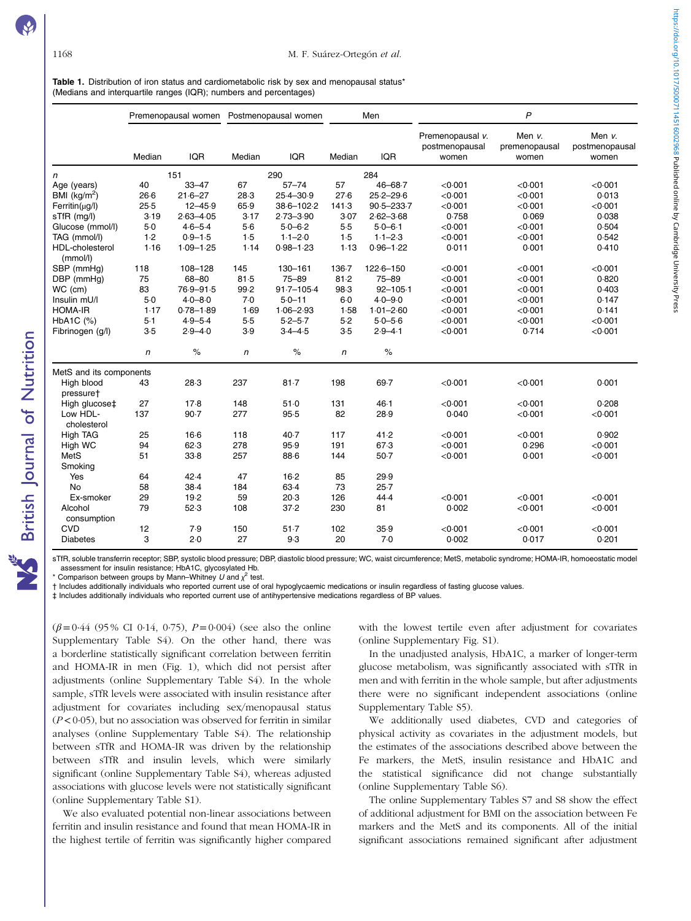**NS** British Journal of Nutrition

<span id="page-3-0"></span>Table 1. Distribution of iron status and cardiometabolic risk by sex and menopausal status<sup>\*</sup> (Medians and interquartile ranges (IQR); numbers and percentages)

|                                    |        | Premenopausal women |        | Postmenopausal women |            | Men            |                                             | P                                |                                   |
|------------------------------------|--------|---------------------|--------|----------------------|------------|----------------|---------------------------------------------|----------------------------------|-----------------------------------|
|                                    | Median | <b>IQR</b>          | Median | <b>IQR</b>           | Median     | <b>IQR</b>     | Premenopausal v.<br>postmenopausal<br>women | Men v.<br>premenopausal<br>women | Men v.<br>postmenopausal<br>women |
| n                                  |        | 151                 |        | 290                  |            | 284            |                                             |                                  |                                   |
| Age (years)                        | 40     | $33 - 47$           | 67     | $57 - 74$            | 57         | $46 - 68.7$    | < 0.001                                     | < 0.001                          | < 0.001                           |
| BMI ( $kg/m2$ )                    | $26-6$ | $21.6 - 27$         | 28.3   | $25.4 - 30.9$        | 27.6       | $25.2 - 29.6$  | < 0.001                                     | < 0.001                          | 0.013                             |
| $Ferritin(\mu g/l)$                | 25.5   | $12 - 45.9$         | 65.9   | 38-6-102-2           | 141.3      | $90.5 - 233.7$ | < 0.001                                     | < 0.001                          | < 0.001                           |
| sTfR (mg/l)                        | 3.19   | $2.63 - 4.05$       | 3.17   | $2.73 - 3.90$        | 3.07       | $2.62 - 3.68$  | 0.758                                       | 0.069                            | 0.038                             |
| Glucose (mmol/l)                   | $5-0$  | $4.6 - 5.4$         | $5-6$  | $5.0 - 6.2$          | 5.5        | $5.0 - 6.1$    | < 0.001                                     | < 0.001                          | 0.504                             |
| TAG (mmol/l)                       | 1.2    | $0.9 - 1.5$         | 1.5    | $1.1 - 2.0$          | 1.5        | $1.1 - 2.3$    | < 0.001                                     | < 0.001                          | 0.542                             |
| <b>HDL-cholesterol</b><br>(mmol/l) | 1.16   | $1.09 - 1.25$       | 1.14   | $0.98 - 1.23$        | 1.13       | $0.96 - 1.22$  | 0.011                                       | 0.001                            | 0.410                             |
| SBP (mmHq)                         | 118    | 108-128             | 145    | 130-161              | 136-7      | $122.6 - 150$  | < 0.001                                     | < 0.001                          | < 0.001                           |
| DBP (mmHg)                         | 75     | 68-80               | 81.5   | $75 - 89$            | 81.2       | $75 - 89$      | < 0.001                                     | < 0.001                          | 0.820                             |
| WC (cm)                            | 83     | 76-9-91-5           | 99.2   | $91.7 - 105.4$       | 98.3       | $92 - 105 - 1$ | < 0.001                                     | < 0.001                          | 0.403                             |
| Insulin mU/I                       | 5.0    | $4.0 - 8.0$         | 7.0    | $5.0 - 11$           | 6.0        | $4.0 - 9.0$    | < 0.001                                     | < 0.001                          | 0.147                             |
| <b>HOMA-IR</b>                     | 1.17   | $0.78 - 1.89$       | 1.69   | $1.06 - 2.93$        | 1.58       | $1.01 - 2.60$  | < 0.001                                     | < 0.001                          | 0.141                             |
| HbA <sub>1</sub> C $(%)$           | 5·1    | $4.9 - 5.4$         | $5-5$  | $5-2-5-7$            | 5.2        | $5.0 - 5.6$    | < 0.001                                     | < 0.001                          | < 0.001                           |
| Fibrinogen (g/l)                   | 3.5    | $2.9 - 4.0$         | 3.9    | $3.4 - 4.5$          | 3.5        | $2.9 - 4.1$    | < 0.001                                     | 0.714                            | < 0.001                           |
|                                    | n      | $\%$                | n      | $\%$                 | $\sqrt{n}$ | $\%$           |                                             |                                  |                                   |
| MetS and its components            |        |                     |        |                      |            |                |                                             |                                  |                                   |
| High blood<br>pressuret            | 43     | 28.3                | 237    | $81 - 7$             | 198        | 69.7           | < 0.001                                     | < 0.001                          | 0.001                             |
| High glucose‡                      | 27     | 17.8                | 148    | 51.0                 | 131        | $46 - 1$       | < 0.001                                     | < 0.001                          | 0.208                             |
| Low HDL-<br>cholesterol            | 137    | $90 - 7$            | 277    | 95.5                 | 82         | 28.9           | 0.040                                       | < 0.001                          | < 0.001                           |
| <b>High TAG</b>                    | 25     | $16-6$              | 118    | $40-7$               | 117        | 41.2           | < 0.001                                     | < 0.001                          | 0.902                             |
| High WC                            | 94     | 62.3                | 278    | 95.9                 | 191        | 67.3           | < 0.001                                     | 0.296                            | < 0.001                           |
| MetS                               | 51     | 33.8                | 257    | 88.6                 | 144        | $50-7$         | < 0.001                                     | 0.001                            | < 0.001                           |
| Smoking                            |        |                     |        |                      |            |                |                                             |                                  |                                   |
| Yes                                | 64     | 42.4                | 47     | 16.2                 | 85         | 29.9           |                                             |                                  |                                   |
| No                                 | 58     | $38-4$              | 184    | 63.4                 | 73         | 25.7           |                                             |                                  |                                   |
| Ex-smoker                          | 29     | 19.2                | 59     | 20.3                 | 126        | 44.4           | < 0.001                                     | < 0.001                          | < 0.001                           |
| Alcohol<br>consumption             | 79     | 52.3                | 108    | 37.2                 | 230        | 81             | 0.002                                       | < 0.001                          | < 0.001                           |
| <b>CVD</b>                         | 12     | 7.9                 | 150    | 51.7                 | 102        | 35.9           | < 0.001                                     | < 0.001                          | < 0.001                           |
| <b>Diabetes</b>                    | 3      | 2.0                 | 27     | 9.3                  | 20         | 7.0            | 0.002                                       | 0.017                            | 0.201                             |

sTfR, soluble transferrin receptor; SBP, systolic blood pressure; DBP, diastolic blood pressure; WC, waist circumference; MetS, metabolic syndrome; HOMA-IR, homoeostatic model assessment for insulin resistance; HbA1C, glycosylated Hb.

\* Comparison between groups by Mann–Whitney U and  $\chi^2$  test.

† Includes additionally individuals who reported current use of oral hypoglycaemic medications or insulin regardless of fasting glucose values.

‡ Includes additionally individuals who reported current use of antihypertensive medications regardless of BP values.

 $(\beta = 0.44 \ (95\%)$  CI 0.14, 0.75),  $P = 0.004$  (see also the online Supplementary Table S4). On the other hand, there was a borderline statistically significant correlation between ferritin and HOMA-IR in men [\(Fig. 1\)](#page-5-0), which did not persist after adjustments (online Supplementary Table S4). In the whole sample, sTfR levels were associated with insulin resistance after adjustment for covariates including sex/menopausal status  $(P<0.05)$ , but no association was observed for ferritin in similar analyses (online Supplementary Table S4). The relationship between sTfR and HOMA-IR was driven by the relationship between sTfR and insulin levels, which were similarly significant (online Supplementary Table S4), whereas adjusted associations with glucose levels were not statistically significant (online Supplementary Table S1).

We also evaluated potential non-linear associations between ferritin and insulin resistance and found that mean HOMA-IR in the highest tertile of ferritin was significantly higher compared with the lowest tertile even after adjustment for covariates (online Supplementary Fig. S1).

In the unadjusted analysis, HbA1C, a marker of longer-term glucose metabolism, was significantly associated with sTfR in men and with ferritin in the whole sample, but after adjustments there were no significant independent associations (online Supplementary Table S5).

We additionally used diabetes, CVD and categories of physical activity as covariates in the adjustment models, but the estimates of the associations described above between the Fe markers, the MetS, insulin resistance and HbA1C and the statistical significance did not change substantially (online Supplementary Table S6).

The online Supplementary Tables S7 and S8 show the effect of additional adjustment for BMI on the association between Fe markers and the MetS and its components. All of the initial significant associations remained significant after adjustment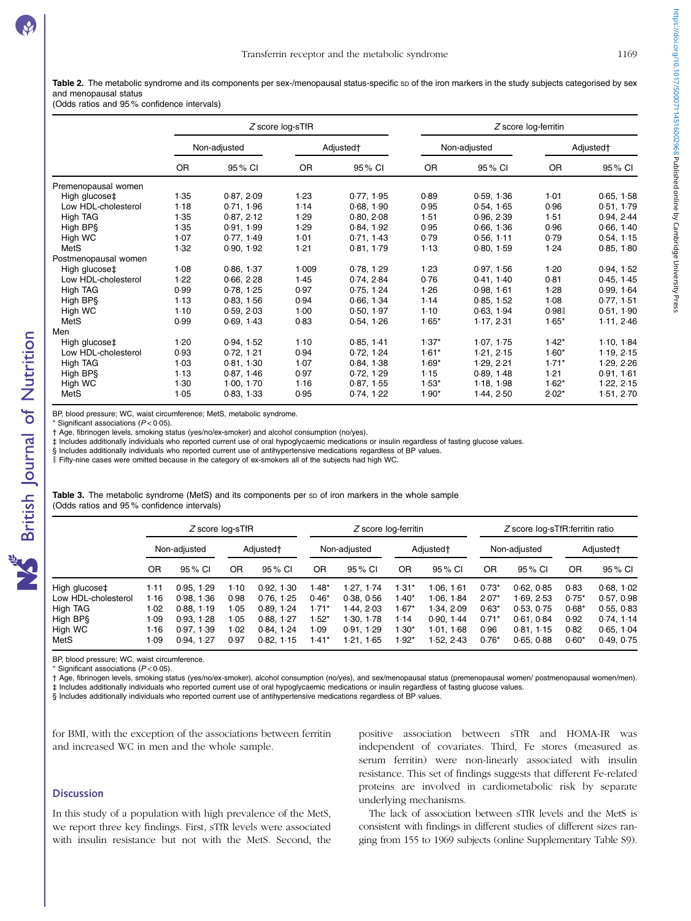https://doi.org/10.1017/50007114516002968 Published online by Cambridge University Press https://doi.org/10.1017/S0007114516002968 Published online by Cambridge University Press

<span id="page-4-0"></span>Table 2. The metabolic syndrome and its components per sex-/menopausal status-specific sp of the iron markers in the study subjects categorised by sex and menopausal status

# (Odds ratios and 95 % confidence intervals)

|                      |              |            | Z score log-sTfR      |            | Z score log-ferritin |              |                       |            |  |  |
|----------------------|--------------|------------|-----------------------|------------|----------------------|--------------|-----------------------|------------|--|--|
|                      | Non-adjusted |            | Adjusted <sup>+</sup> |            |                      | Non-adjusted | Adjusted <sup>+</sup> |            |  |  |
|                      | <b>OR</b>    | 95 % CI    | <b>OR</b>             | 95% CI     | <b>OR</b>            | 95% CI       | 0R                    | 95% CI     |  |  |
| Premenopausal women  |              |            |                       |            |                      |              |                       |            |  |  |
| High glucose‡        | 1.35         | 0.87, 2.09 | 1.23                  | 0.77, 1.95 | 0.89                 | 0.59, 1.36   | 1.01                  | 0.65, 1.58 |  |  |
| Low HDL-cholesterol  | 1.18         | 0.71, 1.96 | 1.14                  | 0.68, 1.90 | 0.95                 | 0.54.165     | 0.96                  | 0.51, 1.79 |  |  |
| High TAG             | 1.35         | 0.87, 2.12 | 1.29                  | 0.80.208   | 1.51                 | 0.96.2.39    | 1.51                  | 0.94, 2.44 |  |  |
| High BPS             | 1.35         | 0.91, 1.99 | 1.29                  | 0.84, 1.92 | 0.95                 | 0.66, 1.36   | 0.96                  | 0.66, 1.40 |  |  |
| High WC              | 1.07         | 0.77, 1.49 | 1.01                  | 0.71, 1.43 | 0.79                 | 0.56, 1.11   | 0.79                  | 0.54, 1.15 |  |  |
| MetS                 | 1.32         | 0.90, 1.92 | 1.21                  | 0.81, 1.79 | 1.13                 | 0.80, 1.59   | 1.24                  | 0.85, 1.80 |  |  |
| Postmenopausal women |              |            |                       |            |                      |              |                       |            |  |  |
| High glucose‡        | 1.08         | 0.86, 1.37 | 1.009                 | 0.78, 1.29 | 1.23                 | 0.97, 1.56   | 1.20                  | 0.94, 1.52 |  |  |
| Low HDL-cholesterol  | 1.22         | 0.66, 2.28 | 1.45                  | 0.74, 2.84 | 0.76                 | 0.41, 1.40   | 0.81                  | 0.45, 1.45 |  |  |
| High TAG             | 0.99         | 0.78, 1.25 | 0.97                  | 0.75, 1.24 | 1.26                 | 0.98, 1.61   | 1.28                  | 0.99, 1.64 |  |  |
| High BPS             | 1.13         | 0.83, 1.56 | 0.94                  | 0.66, 1.34 | 1.14                 | 0.85, 1.52   | 1.08                  | 0.77, 1.51 |  |  |
| High WC              | 1.10         | 0.59, 2.03 | 1.00                  | 0.50, 1.97 | $1-10$               | 0.63, 1.94   | 0.98                  | 0.51, 1.90 |  |  |
| MetS                 | 0.99         | 0.69, 1.43 | 0.83                  | 0.54, 1.26 | $1.65*$              | 1.17, 2.31   | $1.65*$               | 1.11, 2.46 |  |  |
| Men                  |              |            |                       |            |                      |              |                       |            |  |  |
| High glucose‡        | 1.20         | 0.94, 1.52 | 1.10                  | 0.85, 1.41 | $1.37*$              | 1.07, 1.75   | $1.42*$               | 1.10, 1.84 |  |  |
| Low HDL-cholesterol  | 0.93         | 0.72, 1.21 | 0.94                  | 0.72, 1.24 | $1.61*$              | 1.21, 2.15   | $1.60*$               | 1.19, 2.15 |  |  |
| High TAG             | 1.03         | 0.81, 1.30 | 1.07                  | 0.84, 1.38 | $1.69*$              | 1.29.2.21    | $1.71*$               | 1.29, 2.26 |  |  |
| High BP§             | 1.13         | 0.87, 1.46 | 0.97                  | 0.72, 1.29 | 1.15                 | 0.89.148     | 1.21                  | 0.91, 1.61 |  |  |
| High WC              | 1.30         | 1.00, 1.70 | 1.16                  | 0.87, 1.55 | $1.53*$              | 1.18, 1.98   | $1.62*$               | 1.22, 2.15 |  |  |
| MetS                 | 1.05         | 0.83, 1.33 | 0.95                  | 0.74, 1.22 | $1.90*$              | 1.44, 2.50   | $2.02*$               | 1.51, 2.70 |  |  |

BP, blood pressure; WC, waist circumference; MetS, metabolic syndrome.

Significant associations ( $P$  < 0.05).

† Age, fibrinogen levels, smoking status (yes/no/ex-smoker) and alcohol consumption (no/yes).

‡ Includes additionally individuals who reported current use of oral hypoglycaemic medications or insulin regardless of fasting glucose values.

§ Includes additionally individuals who reported current use of antihypertensive medications regardless of BP values.

║ Fifty-nine cases were omitted because in the category of ex-smokers all of the subjects had high WC.

Table 3. The metabolic syndrome (MetS) and its components per sp of iron markers in the whole sample (Odds ratios and 95 % confidence intervals)

|                     | Z score log-sTfR |            |                       |            | Z score log-ferritin |            |           |            | Z score log-sTfR:ferritin ratio |            |                       |            |
|---------------------|------------------|------------|-----------------------|------------|----------------------|------------|-----------|------------|---------------------------------|------------|-----------------------|------------|
|                     | Non-adjusted     |            | Adjusted <sup>+</sup> |            | Non-adjusted         |            | Adjusted† |            | Non-adjusted                    |            | Adjusted <sup>+</sup> |            |
|                     | OR               | 95 % CI    | OR                    | 95 % CI    | 0R                   | 95 % CI    | OR        | 95 % CI    | <b>OR</b>                       | 95 % CI    | OR                    | 95 % CI    |
| High glucose‡       | 1.11             | 0.95, 1.29 | 1-10                  | 0.92, 1.30 | l -48*               | 1.27. 1.74 | $1.31*$   | 1.06.1.61  | $0.73*$                         | 0.62.0.85  | 0.83                  | 0.68, 1.02 |
| Low HDL-cholesterol | 1.16             | 0.98.1.36  | 0.98                  | 0.76.125   | $0.46*$              | 0.38, 0.56 | $1.40*$   | 1.06.1.84  | $2.07*$                         | 1 69. 2 53 | $0.75*$               | 0.57, 0.98 |
| High TAG            | 1.02             | 0.88.119   | 1.05                  | 0.89, 1.24 | $1.71*$              | l 44. 2 03 | $1.67*$   | 1 34. 2 09 | $0.63*$                         | 0.53, 0.75 | $0.68*$               | 0.55, 0.83 |
| High BPS            | 1.09             | 0.93.128   | 1.05                  | 0.88.1.27  | $1.52*$              | 1.30.1.78  | 1.14      | 0.90.144   | $0.71*$                         | 0.61.0.84  | 0.92                  | 0.74.114   |
| High WC             | 1.16             | 0.97.139   | 1.02                  | 0.84.1.24  | 1.09                 | 0.91, 1.29 | $1.30*$   | 1.01.1.68  | 0.96                            | 0.81.1.15  | 0.82                  | 0.65.104   |
| MetS                | I 09             | 0.94.127   | 0.97                  | 0.82.115   | $-41*$               | 1.21.1.65  | $1.92*$   | 1.52.2.43  | $0.76*$                         | 0.65.0.88  | $0.60*$               | 0.49, 0.75 |

BP, blood pressure; WC, waist circumference.

Significant associations ( $P < 0.05$ ).

† Age, fibrinogen levels, smoking status (yes/no/ex-smoker), alcohol consumption (no/yes), and sex/menopausal status (premenopausal women/ postmenopausal women/men).

‡ Includes additionally individuals who reported current use of oral hypoglycaemic medications or insulin regardless of fasting glucose values.

§ Includes additionally individuals who reported current use of antihypertensive medications regardless of BP values.

for BMI, with the exception of the associations between ferritin and increased WC in men and the whole sample.

# **Discussion**

In this study of a population with high prevalence of the MetS, we report three key findings. First, sTfR levels were associated with insulin resistance but not with the MetS. Second, the

positive association between sTfR and HOMA-IR was independent of covariates. Third, Fe stores (measured as serum ferritin) were non-linearly associated with insulin resistance. This set of findings suggests that different Fe-related proteins are involved in cardiometabolic risk by separate underlying mechanisms.

The lack of association between sTfR levels and the MetS is consistent with findings in different studies of different sizes ranging from 155 to 1969 subjects (online Supplementary Table S9).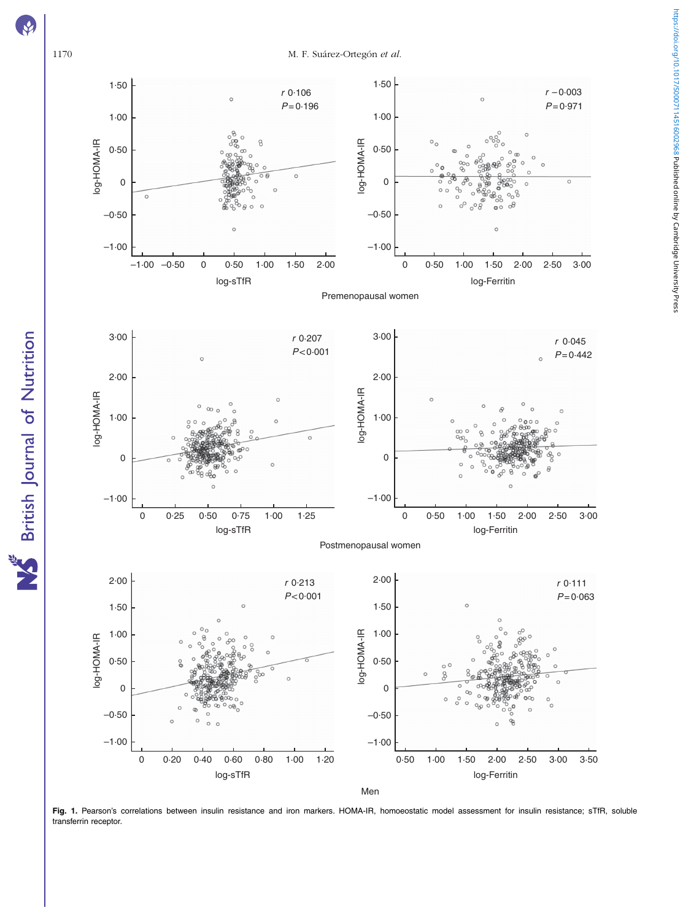<span id="page-5-0"></span>

Fig. 1. Pearson's correlations between insulin resistance and iron markers. HOMA-IR, homoeostatic model assessment for insulin resistance; sTfR, soluble transferrin receptor.

British Journal of Nutrition X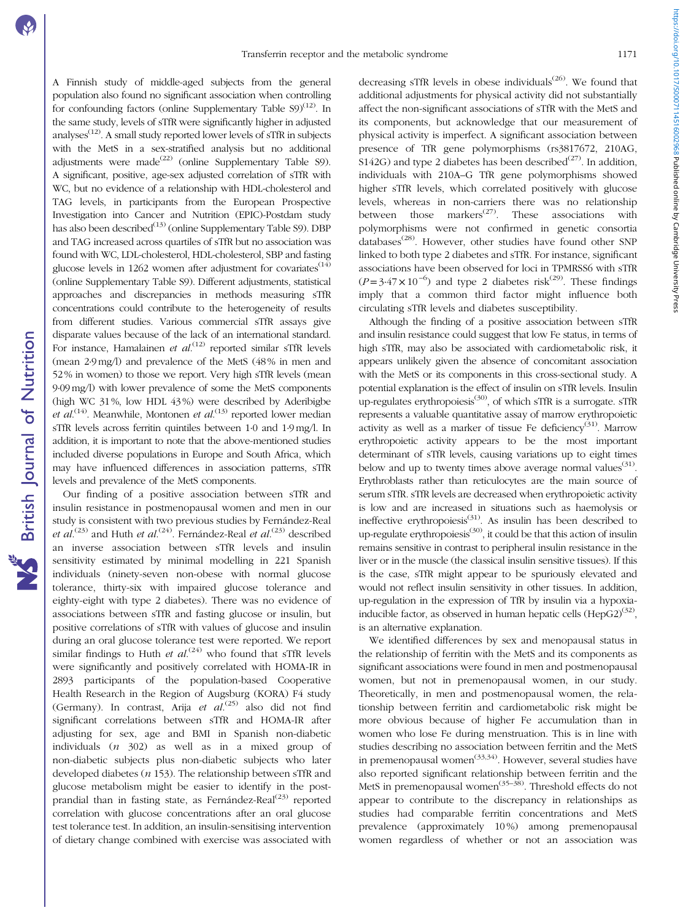https://doi.org/10.1017/500071145160029680 **Published online by Cambridge University Press** https://doi.org/10.1017/S0007114516002968 Published online by Cambridge University Press

A Finnish study of middle-aged subjects from the general population also found no significant association when controlling for confounding factors (online Supplementary Table  $\text{S9}^{(12)}$  $\text{S9}^{(12)}$  $\text{S9}^{(12)}$ ). In the same study, levels of sTfR were significantly higher in adjusted analyses<sup> $(12)$ </sup>. A small study reported lower levels of sTfR in subjects with the MetS in a sex-stratified analysis but no additional adjustments were made $^{(22)}$  $^{(22)}$  $^{(22)}$  (online Supplementary Table S9). A significant, positive, age-sex adjusted correlation of sTfR with WC, but no evidence of a relationship with HDL-cholesterol and TAG levels, in participants from the European Prospective Investigation into Cancer and Nutrition (EPIC)-Postdam study has also been described<sup>[\(13\)](#page-8-0)</sup> (online Supplementary Table S9). DBP and TAG increased across quartiles of sTfR but no association was found with WC, LDL-cholesterol, HDL-cholesterol, SBP and fasting glucose levels in 1262 women after adjustment for covariates<sup> $(14)$  $(14)$  $(14)$ </sup> (online Supplementary Table S9). Different adjustments, statistical approaches and discrepancies in methods measuring sTfR concentrations could contribute to the heterogeneity of results from different studies. Various commercial sTfR assays give disparate values because of the lack of an international standard. For instance, Hamalainen et al.<sup>[\(12\)](#page-8-0)</sup> reported similar sTfR levels (mean 2·9 mg/l) and prevalence of the MetS (48 % in men and 52 % in women) to those we report. Very high sTfR levels (mean 9·09 mg/l) with lower prevalence of some the MetS components (high WC 31 %, low HDL 43 %) were described by Aderibigbe et  $al^{(14)}$  $al^{(14)}$  $al^{(14)}$ . Meanwhile, Montonen et  $al^{(13)}$  $al^{(13)}$  $al^{(13)}$  reported lower median sTfR levels across ferritin quintiles between 1·0 and 1·9 mg/l. In addition, it is important to note that the above-mentioned studies included diverse populations in Europe and South Africa, which may have influenced differences in association patterns, sTfR levels and prevalence of the MetS components.

Our finding of a positive association between sTfR and insulin resistance in postmenopausal women and men in our study is consistent with two previous studies by Fernández-Real et al.<sup>([23](#page-8-0))</sup> and Huth et al.<sup>[\(24\)](#page-8-0)</sup>. Fernández-Real et al.<sup>(23)</sup> described an inverse association between sTfR levels and insulin sensitivity estimated by minimal modelling in 221 Spanish individuals (ninety-seven non-obese with normal glucose tolerance, thirty-six with impaired glucose tolerance and eighty-eight with type 2 diabetes). There was no evidence of associations between sTfR and fasting glucose or insulin, but positive correlations of sTfR with values of glucose and insulin during an oral glucose tolerance test were reported. We report similar findings to Huth et  $al^{(24)}$  $al^{(24)}$  $al^{(24)}$  who found that sTfR levels were significantly and positively correlated with HOMA-IR in 2893 participants of the population-based Cooperative Health Research in the Region of Augsburg (KORA) F4 study (Germany). In contrast, Arija et al.<sup>[\(25](#page-8-0))</sup> also did not find significant correlations between sTfR and HOMA-IR after adjusting for sex, age and BMI in Spanish non-diabetic individuals  $(n \t302)$  as well as in a mixed group of non-diabetic subjects plus non-diabetic subjects who later developed diabetes ( $n$  153). The relationship between sTfR and glucose metabolism might be easier to identify in the postprandial than in fasting state, as Fernández-Real $^{(23)}$  $^{(23)}$  $^{(23)}$  reported correlation with glucose concentrations after an oral glucose test tolerance test. In addition, an insulin-sensitising intervention of dietary change combined with exercise was associated with

decreasing sTfR levels in obese individuals<sup> $(26)$  $(26)$ </sup>. We found that additional adjustments for physical activity did not substantially affect the non-significant associations of sTfR with the MetS and its components, but acknowledge that our measurement of physical activity is imperfect. A significant association between presence of TfR gene polymorphisms (rs3817672, 210AG, S142G) and type 2 diabetes has been described<sup>([27\)](#page-8-0)</sup>. In addition, individuals with 210A–G TfR gene polymorphisms showed higher sTfR levels, which correlated positively with glucose levels, whereas in non-carriers there was no relationship between those markers<sup> $(27)$  $(27)$  $(27)$ </sup>. These associations with polymorphisms were not confirmed in genetic consortia databases<sup>[\(28](#page-8-0))</sup>. However, other studies have found other SNP linked to both type 2 diabetes and sTfR. For instance, significant associations have been observed for loci in TPMRSS6 with sTfR  $(P=3.47 \times 10^{-6})$  and type 2 diabetes risk<sup>[\(29](#page-8-0))</sup>. These findings imply that a common third factor might influence both circulating sTfR levels and diabetes susceptibility.

Although the finding of a positive association between sTfR and insulin resistance could suggest that low Fe status, in terms of high sTfR, may also be associated with cardiometabolic risk, it appears unlikely given the absence of concomitant association with the MetS or its components in this cross-sectional study. A potential explanation is the effect of insulin on sTfR levels. Insulin up-regulates erythropoiesis<sup>[\(30\)](#page-8-0)</sup>, of which sTfR is a surrogate. sTfR represents a valuable quantitative assay of marrow erythropoietic activity as well as a marker of tissue Fe deficiency<sup>[\(31\)](#page-8-0)</sup>. Marrow erythropoietic activity appears to be the most important determinant of sTfR levels, causing variations up to eight times below and up to twenty times above average normal values<sup>[\(31\)](#page-8-0)</sup>. Erythroblasts rather than reticulocytes are the main source of serum sTfR. sTfR levels are decreased when erythropoietic activity is low and are increased in situations such as haemolysis or ineffective erythropoiesis<sup>[\(31\)](#page-8-0)</sup>. As insulin has been described to up-regulate erythropoiesis<sup>[\(30\)](#page-8-0)</sup>, it could be that this action of insulin remains sensitive in contrast to peripheral insulin resistance in the liver or in the muscle (the classical insulin sensitive tissues). If this is the case, sTfR might appear to be spuriously elevated and would not reflect insulin sensitivity in other tissues. In addition, up-regulation in the expression of TfR by insulin via a hypoxiainducible factor, as observed in human hepatic cells  $(HepG2)^{(32)}$  $(HepG2)^{(32)}$  $(HepG2)^{(32)}$ , is an alternative explanation.

We identified differences by sex and menopausal status in the relationship of ferritin with the MetS and its components as significant associations were found in men and postmenopausal women, but not in premenopausal women, in our study. Theoretically, in men and postmenopausal women, the relationship between ferritin and cardiometabolic risk might be more obvious because of higher Fe accumulation than in women who lose Fe during menstruation. This is in line with studies describing no association between ferritin and the MetS in premenopausal women<sup> $(33,34)$  $(33,34)$  $(33,34)$ </sup>. However, several studies have also reported significant relationship between ferritin and the MetS in premenopausal women<sup>([35](#page-8-0)-[38](#page-9-0))</sup>. Threshold effects do not appear to contribute to the discrepancy in relationships as studies had comparable ferritin concentrations and MetS prevalence (approximately 10%) among premenopausal women regardless of whether or not an association was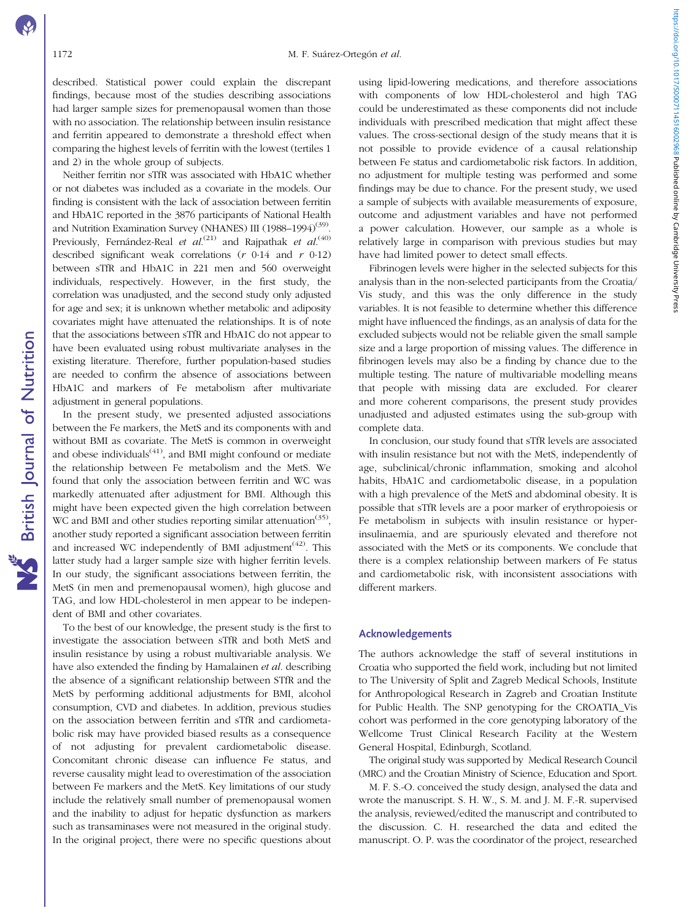described. Statistical power could explain the discrepant findings, because most of the studies describing associations had larger sample sizes for premenopausal women than those with no association. The relationship between insulin resistance and ferritin appeared to demonstrate a threshold effect when comparing the highest levels of ferritin with the lowest (tertiles 1 and 2) in the whole group of subjects.

Neither ferritin nor sTfR was associated with HbA1C whether or not diabetes was included as a covariate in the models. Our finding is consistent with the lack of association between ferritin and HbA1C reported in the 3876 participants of National Health and Nutrition Examination Survey (NHANES) III (1988-1994)<sup>[\(39\)](#page-9-0)</sup> Previously, Fernández-Real et al.<sup>([21](#page-8-0))</sup> and Rajpathak et al.<sup>[\(40](#page-9-0))</sup> described significant weak correlations  $(r \t 0.14$  and  $r \t 0.12)$ between sTfR and HbA1C in 221 men and 560 overweight individuals, respectively. However, in the first study, the correlation was unadjusted, and the second study only adjusted for age and sex; it is unknown whether metabolic and adiposity covariates might have attenuated the relationships. It is of note that the associations between sTfR and HbA1C do not appear to have been evaluated using robust multivariate analyses in the existing literature. Therefore, further population-based studies are needed to confirm the absence of associations between HbA1C and markers of Fe metabolism after multivariate adjustment in general populations.

In the present study, we presented adjusted associations between the Fe markers, the MetS and its components with and without BMI as covariate. The MetS is common in overweight and obese individuals $(41)$ , and BMI might confound or mediate the relationship between Fe metabolism and the MetS. We found that only the association between ferritin and WC was markedly attenuated after adjustment for BMI. Although this might have been expected given the high correlation between WC and BMI and other studies reporting similar attenuation<sup>[\(35\)](#page-8-0)</sup>, another study reported a significant association between ferritin and increased WC independently of BMI adjustment<sup> $(42)$ </sup>. This latter study had a larger sample size with higher ferritin levels. In our study, the significant associations between ferritin, the MetS (in men and premenopausal women), high glucose and TAG, and low HDL-cholesterol in men appear to be independent of BMI and other covariates.

To the best of our knowledge, the present study is the first to investigate the association between sTfR and both MetS and insulin resistance by using a robust multivariable analysis. We have also extended the finding by Hamalainen et al. describing the absence of a significant relationship between STfR and the MetS by performing additional adjustments for BMI, alcohol consumption, CVD and diabetes. In addition, previous studies on the association between ferritin and sTfR and cardiometabolic risk may have provided biased results as a consequence of not adjusting for prevalent cardiometabolic disease. Concomitant chronic disease can influence Fe status, and reverse causality might lead to overestimation of the association between Fe markers and the MetS. Key limitations of our study include the relatively small number of premenopausal women and the inability to adjust for hepatic dysfunction as markers such as transaminases were not measured in the original study. In the original project, there were no specific questions about

using lipid-lowering medications, and therefore associations with components of low HDL-cholesterol and high TAG could be underestimated as these components did not include individuals with prescribed medication that might affect these values. The cross-sectional design of the study means that it is not possible to provide evidence of a causal relationship between Fe status and cardiometabolic risk factors. In addition, no adjustment for multiple testing was performed and some findings may be due to chance. For the present study, we used a sample of subjects with available measurements of exposure, outcome and adjustment variables and have not performed a power calculation. However, our sample as a whole is relatively large in comparison with previous studies but may have had limited power to detect small effects.

Fibrinogen levels were higher in the selected subjects for this analysis than in the non-selected participants from the Croatia/ Vis study, and this was the only difference in the study variables. It is not feasible to determine whether this difference might have influenced the findings, as an analysis of data for the excluded subjects would not be reliable given the small sample size and a large proportion of missing values. The difference in fibrinogen levels may also be a finding by chance due to the multiple testing. The nature of multivariable modelling means that people with missing data are excluded. For clearer and more coherent comparisons, the present study provides unadjusted and adjusted estimates using the sub-group with complete data.

In conclusion, our study found that sTfR levels are associated with insulin resistance but not with the MetS, independently of age, subclinical/chronic inflammation, smoking and alcohol habits, HbA1C and cardiometabolic disease, in a population with a high prevalence of the MetS and abdominal obesity. It is possible that sTfR levels are a poor marker of erythropoiesis or Fe metabolism in subjects with insulin resistance or hyperinsulinaemia, and are spuriously elevated and therefore not associated with the MetS or its components. We conclude that there is a complex relationship between markers of Fe status and cardiometabolic risk, with inconsistent associations with different markers.

# Acknowledgements

The authors acknowledge the staff of several institutions in Croatia who supported the field work, including but not limited to The University of Split and Zagreb Medical Schools, Institute for Anthropological Research in Zagreb and Croatian Institute for Public Health. The SNP genotyping for the CROATIA\_Vis cohort was performed in the core genotyping laboratory of the Wellcome Trust Clinical Research Facility at the Western General Hospital, Edinburgh, Scotland.

The original study was supported by Medical Research Council (MRC) and the Croatian Ministry of Science, Education and Sport.

M. F. S.-O. conceived the study design, analysed the data and wrote the manuscript. S. H. W., S. M. and J. M. F.-R. supervised the analysis, reviewed/edited the manuscript and contributed to the discussion. C. H. researched the data and edited the manuscript. O. P. was the coordinator of the project, researched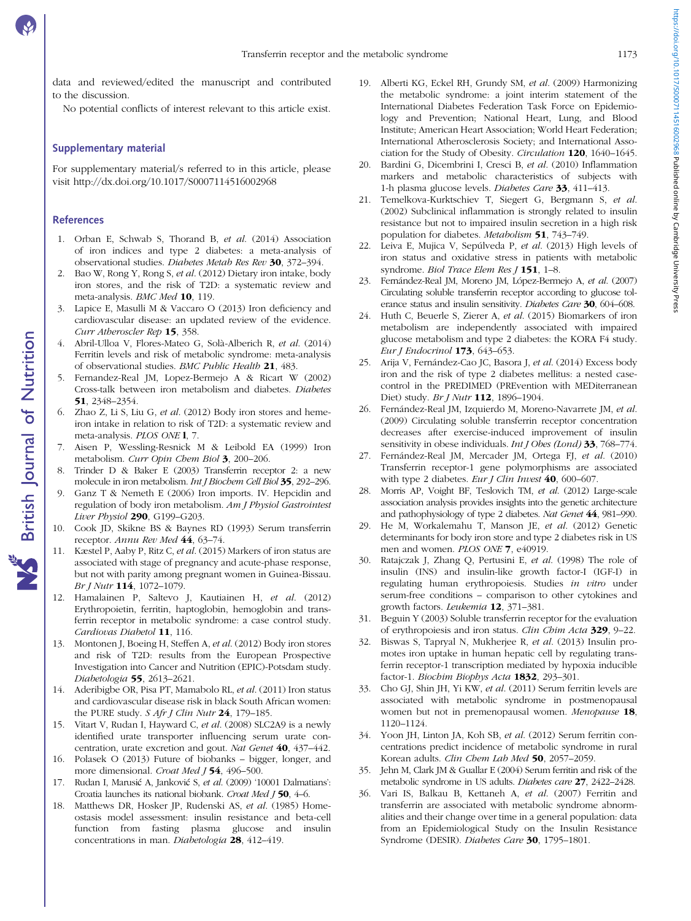<span id="page-8-0"></span>data and reviewed/edited the manuscript and contributed to the discussion.

No potential conflicts of interest relevant to this article exist.

# Supplementary material

For supplementary material/s referred to in this article, please visit<http://dx.doi.org/10.1017/S0007114516002968>

# References

**NS** British Journal of Nutrition

- 1. Orban E, Schwab S, Thorand B, et al. (2014) Association of iron indices and type 2 diabetes: a meta-analysis of observational studies. Diabetes Metab Res Rev 30, 372–394.
- 2. Bao W, Rong Y, Rong S, et al. (2012) Dietary iron intake, body iron stores, and the risk of T2D: a systematic review and meta-analysis. BMC Med 10, 119.
- 3. Lapice E, Masulli M & Vaccaro O (2013) Iron deficiency and cardiovascular disease: an updated review of the evidence. Curr Atheroscler Rep 15, 358.
- 4. Abril-Ulloa V, Flores-Mateo G, Solà-Alberich R, et al. (2014) Ferritin levels and risk of metabolic syndrome: meta-analysis of observational studies. BMC Public Health 21, 483.
- 5. Fernandez-Real JM, Lopez-Bermejo A & Ricart W (2002) Cross-talk between iron metabolism and diabetes. Diabetes 51, 2348–2354.
- 6. Zhao Z, Li S, Liu G, et al. (2012) Body iron stores and hemeiron intake in relation to risk of T2D: a systematic review and meta-analysis. PLOS ONE l, 7.
- 7. Aisen P, Wessling-Resnick M & Leibold EA (1999) Iron metabolism. Curr Opin Chem Biol 3, 200-206.
- 8. Trinder D & Baker E (2003) Transferrin receptor 2: a new molecule in iron metabolism. Int J Biochem Cell Biol 35, 292–296.
- 9. Ganz T & Nemeth E (2006) Iron imports. IV. Hepcidin and regulation of body iron metabolism. Am J Physiol Gastrointest Liver Physiol 290, G199–G203.
- 10. Cook JD, Skikne BS & Baynes RD (1993) Serum transferrin receptor. Annu Rev Med 44, 63-74.
- 11. Kæstel P, Aaby P, Ritz C, et al. (2015) Markers of iron status are associated with stage of pregnancy and acute-phase response, but not with parity among pregnant women in Guinea-Bissau. Br J Nutr 114, 1072–1079.
- 12. Hamalainen P, Saltevo J, Kautiainen H, et al. (2012) Erythropoietin, ferritin, haptoglobin, hemoglobin and transferrin receptor in metabolic syndrome: a case control study. Cardiovas Diabetol 11, 116.
- 13. Montonen J, Boeing H, Steffen A, et al. (2012) Body iron stores and risk of T2D: results from the European Prospective Investigation into Cancer and Nutrition (EPIC)-Potsdam study. Diabetologia 55, 2613–2621.
- 14. Aderibigbe OR, Pisa PT, Mamabolo RL, et al. (2011) Iron status and cardiovascular disease risk in black South African women: the PURE study. S Afr J Clin Nutr 24, 179-185.
- 15. Vitart V, Rudan I, Hayward C, et al. (2008) SLC2A9 is a newly identified urate transporter influencing serum urate concentration, urate excretion and gout. Nat Genet 40, 437–442.
- 16. Polasek O (2013) Future of biobanks bigger, longer, and more dimensional. Croat Med 154, 496-500.
- 17. Rudan I, Marusić A, Janković S, et al. (2009) '10001 Dalmatians': Croatia launches its national biobank. Croat Med J 50, 4–6.
- 18. Matthews DR, Hosker JP, Rudenski AS, et al. (1985) Homeostasis model assessment: insulin resistance and beta-cell function from fasting plasma glucose and insulin concentrations in man. Diabetologia 28, 412–419.
- 19. Alberti KG, Eckel RH, Grundy SM, et al. (2009) Harmonizing the metabolic syndrome: a joint interim statement of the International Diabetes Federation Task Force on Epidemiology and Prevention; National Heart, Lung, and Blood Institute; American Heart Association; World Heart Federation; International Atherosclerosis Society; and International Association for the Study of Obesity. Circulation 120, 1640–1645.
- 20. Bardini G, Dicembrini I, Cresci B, et al. (2010) Inflammation markers and metabolic characteristics of subjects with 1-h plasma glucose levels. Diabetes Care 33, 411–413.
- 21. Temelkova-Kurktschiev T, Siegert G, Bergmann S, et al. (2002) Subclinical inflammation is strongly related to insulin resistance but not to impaired insulin secretion in a high risk population for diabetes. Metabolism 51, 743–749.
- 22. Leiva E, Mujica V, Sepúlveda P, et al. (2013) High levels of iron status and oxidative stress in patients with metabolic syndrome. Biol Trace Elem Res [ 151, 1-8.
- 23. Fernández-Real JM, Moreno JM, López-Bermejo A, et al. (2007) Circulating soluble transferrin receptor according to glucose tolerance status and insulin sensitivity. Diabetes Care 30, 604–608.
- 24. Huth C, Beuerle S, Zierer A, et al. (2015) Biomarkers of iron metabolism are independently associated with impaired glucose metabolism and type 2 diabetes: the KORA F4 study. Eur J Endocrinol 173, 643–653.
- 25. Arija V, Fernández-Cao JC, Basora J, et al. (2014) Excess body iron and the risk of type 2 diabetes mellitus: a nested casecontrol in the PREDIMED (PREvention with MEDiterranean Diet) study. Br J Nutr 112, 1896–1904.
- 26. Fernández-Real JM, Izquierdo M, Moreno-Navarrete JM, et al. (2009) Circulating soluble transferrin receptor concentration decreases after exercise-induced improvement of insulin sensitivity in obese individuals. Int J Obes (Lond) 33, 768-774.
- 27. Fernández-Real JM, Mercader JM, Ortega FJ, et al. (2010) Transferrin receptor-1 gene polymorphisms are associated with type 2 diabetes. Eur J Clin Invest 40, 600-607.
- 28. Morris AP, Voight BF, Teslovich TM, et al. (2012) Large-scale association analysis provides insights into the genetic architecture and pathophysiology of type 2 diabetes. Nat Genet 44, 981–990.
- 29. He M, Workalemahu T, Manson JE, et al. (2012) Genetic determinants for body iron store and type 2 diabetes risk in US men and women. PLOS ONE 7, e40919.
- 30. Ratajczak J, Zhang Q, Pertusini E, et al. (1998) The role of insulin (INS) and insulin-like growth factor-I (IGF-I) in regulating human erythropoiesis. Studies in vitro under serum-free conditions – comparison to other cytokines and growth factors. Leukemia 12, 371–381.
- 31. Beguin Y (2003) Soluble transferrin receptor for the evaluation of erythropoiesis and iron status. Clin Chim Acta 329, 9–22.
- 32. Biswas S, Tapryal N, Mukherjee R, et al. (2013) Insulin promotes iron uptake in human hepatic cell by regulating transferrin receptor-1 transcription mediated by hypoxia inducible factor-1. Biochim Biophys Acta 1832, 293-301.
- 33. Cho GJ, Shin JH, Yi KW, et al. (2011) Serum ferritin levels are associated with metabolic syndrome in postmenopausal women but not in premenopausal women. Menopause 18, 1120–1124.
- 34. Yoon JH, Linton JA, Koh SB, et al. (2012) Serum ferritin concentrations predict incidence of metabolic syndrome in rural Korean adults. Clin Chem Lab Med 50, 2057-2059.
- 35. Jehn M, Clark JM & Guallar E (2004) Serum ferritin and risk of the metabolic syndrome in US adults. Diabetes care 27, 2422–2428.
- 36. Vari IS, Balkau B, Kettaneh A, et al. (2007) Ferritin and transferrin are associated with metabolic syndrome abnormalities and their change over time in a general population: data from an Epidemiological Study on the Insulin Resistance Syndrome (DESIR). Diabetes Care 30, 1795–1801.